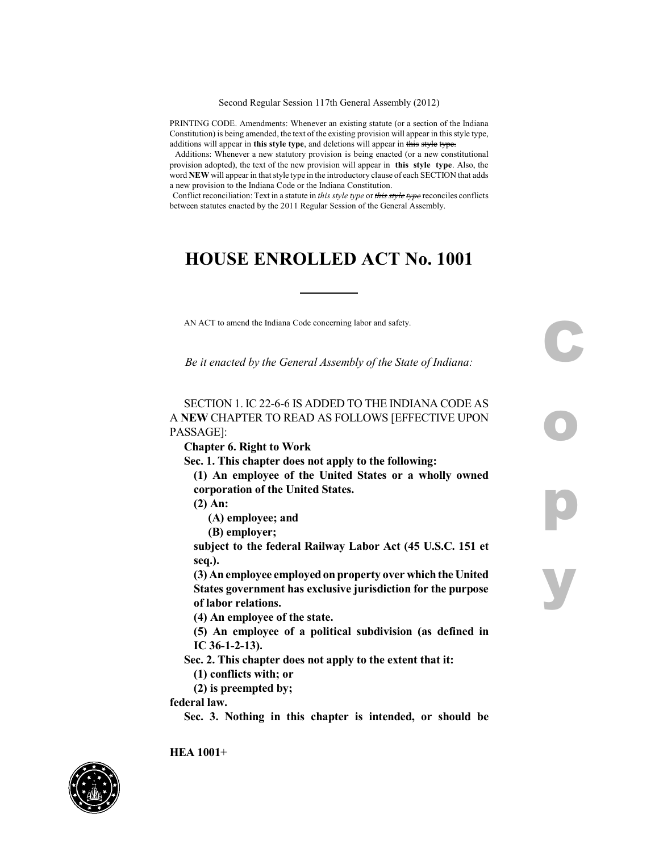Second Regular Session 117th General Assembly (2012)

PRINTING CODE. Amendments: Whenever an existing statute (or a section of the Indiana Constitution) is being amended, the text of the existing provision will appear in this style type, additions will appear in **this style type**, and deletions will appear in this style type.

Additions: Whenever a new statutory provision is being enacted (or a new constitutional provision adopted), the text of the new provision will appear in **this style type**. Also, the word **NEW** will appear in thatstyle type in the introductory clause of each SECTION that adds a new provision to the Indiana Code or the Indiana Constitution.

Conflict reconciliation: Text in a statute in *this style type* or *this style type* reconciles conflicts between statutes enacted by the 2011 Regular Session of the General Assembly.

## **HOUSE ENROLLED ACT No. 1001**

AN ACT to amend the Indiana Code concerning labor and safety.

*Be it enacted by the General Assembly of the State of Indiana:*

**C**

**o**

**p**

**y**

SECTION 1. IC 22-6-6 IS ADDED TO THE INDIANA CODE AS A **NEW** CHAPTER TO READ AS FOLLOWS [EFFECTIVE UPON PASSAGE]:

**Chapter 6. Right to Work**

**Sec. 1. This chapter does not apply to the following:**

**(1) An employee of the United States or a wholly owned corporation of the United States.**

**(2) An:**

**(A) employee; and**

**(B) employer;**

**subject to the federal Railway Labor Act (45 U.S.C. 151 et seq.).**

**(3) Anemployee employedonproperty over whichthe United States government has exclusive jurisdiction for the purpose of labor relations.**

**(4) An employee of the state.**

**(5) An employee of a political subdivision (as defined in IC 36-1-2-13).**

**Sec. 2. This chapter does not apply to the extent that it:**

**(1) conflicts with; or**

**(2) is preempted by;**

**federal law.**

**Sec. 3. Nothing in this chapter is intended, or should be**

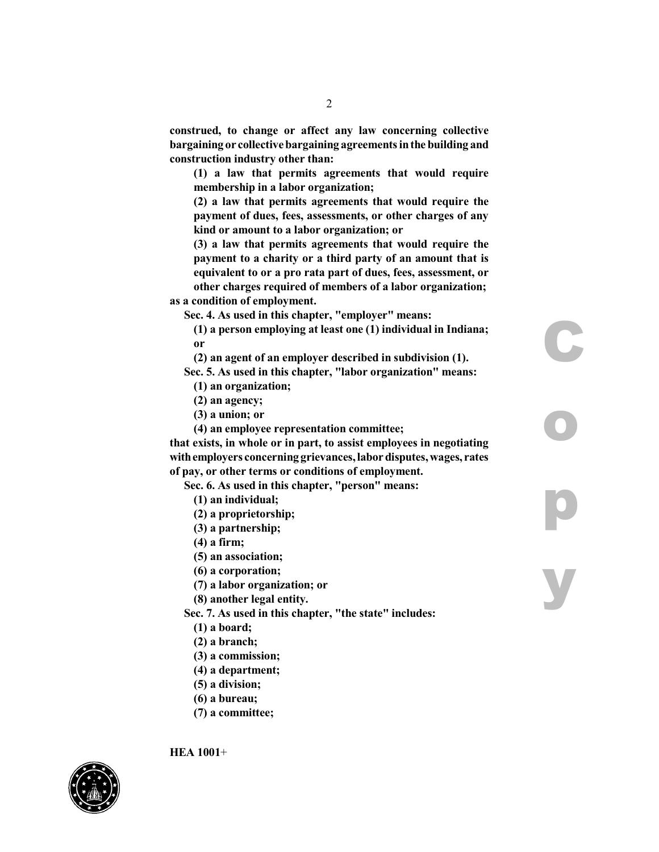**construed, to change or affect any law concerning collective bargaining or collectivebargaining agreementsinthe building and construction industry other than:**

**(1) a law that permits agreements that would require membership in a labor organization;**

**(2) a law that permits agreements that would require the payment of dues, fees, assessments, or other charges of any kind or amount to a labor organization; or**

**(3) a law that permits agreements that would require the payment to a charity or a third party of an amount that is equivalent to or a pro rata part of dues, fees, assessment, or other charges required of members of a labor organization;**

**as a condition of employment.**

**Sec. 4. As used in this chapter, "employer" means:**

**(1) a person employing at least one (1) individual in Indiana; or**

**C**

**o**

**p**

**y**

**(2) an agent of an employer described in subdivision (1).**

**Sec. 5. As used in this chapter, "labor organization" means: (1) an organization;**

- **(2) an agency;**
- **(3) a union; or**
- **(4) an employee representation committee;**

**that exists, in whole or in part, to assist employees in negotiating withemployers concerning grievances,labordisputes,wages, rates of pay, or other terms or conditions of employment.**

**Sec. 6. As used in this chapter, "person" means:**

**(1) an individual;**

**(2) a proprietorship;**

- **(3) a partnership;**
- **(4) a firm;**
- **(5) an association;**

**(6) a corporation;**

**(7) a labor organization; or**

**(8) another legal entity.**

**Sec. 7. As used in this chapter, "the state" includes:**

- **(1) a board;**
- **(2) a branch;**
- **(3) a commission;**
- **(4) a department;**
- **(5) a division;**
- **(6) a bureau;**
- **(7) a committee;**

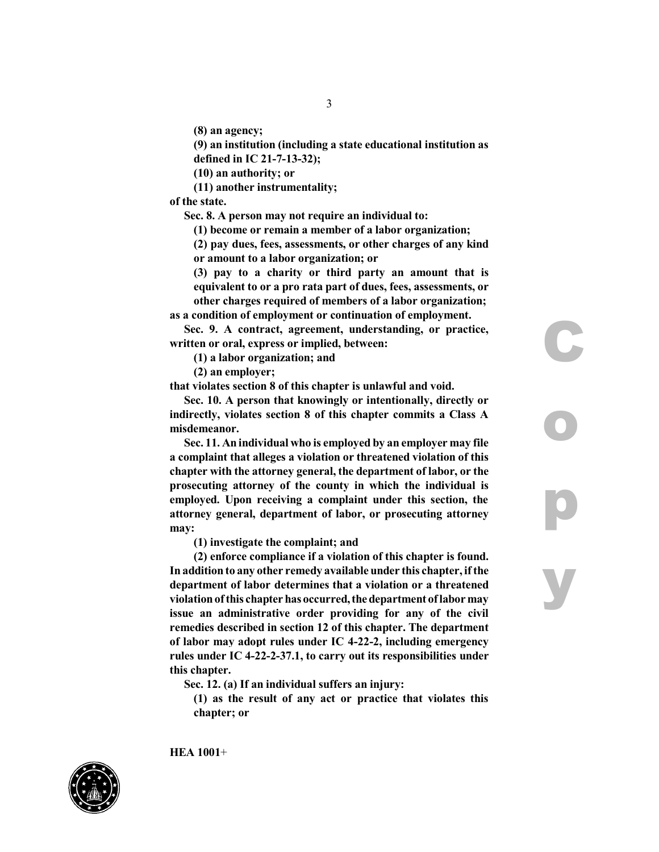**(8) an agency;**

**(9) an institution (including a state educational institution as defined in IC 21-7-13-32);**

**(10) an authority; or**

**(11) another instrumentality;**

**of the state.**

**Sec. 8. A person may not require an individual to:**

**(1) become or remain a member of a labor organization;**

**(2) pay dues, fees, assessments, or other charges of any kind or amount to a labor organization; or**

**(3) pay to a charity or third party an amount that is equivalent to or a pro rata part of dues, fees, assessments, or other charges required of members of a labor organization;**

**C**

**o**

**p**

**y**

**as a condition of employment or continuation of employment. Sec. 9. A contract, agreement, understanding, or practice,**

**written or oral, express or implied, between:**

**(1) a labor organization; and**

**(2) an employer;**

**that violates section 8 of this chapter is unlawful and void.**

**Sec. 10. A person that knowingly or intentionally, directly or indirectly, violates section 8 of this chapter commits a Class A misdemeanor.**

**Sec. 11. An individual who is employed by an employer may file a complaint that alleges a violation or threatened violation of this chapter with the attorney general, the department of labor, or the prosecuting attorney of the county in which the individual is employed. Upon receiving a complaint under this section, the attorney general, department of labor, or prosecuting attorney may:**

**(1) investigate the complaint; and**

**(2) enforce compliance if a violation of this chapter is found. Inaddition to any other remedy available under this chapter, ifthe department of labor determines that a violation or a threatened violationofthis chapter hasoccurred,the department oflabormay issue an administrative order providing for any of the civil remedies described in section 12 of this chapter. The department of labor may adopt rules under IC 4-22-2, including emergency rules under IC 4-22-2-37.1, to carry out its responsibilities under this chapter.**

**Sec. 12. (a) If an individual suffers an injury:**

**(1) as the result of any act or practice that violates this chapter; or**

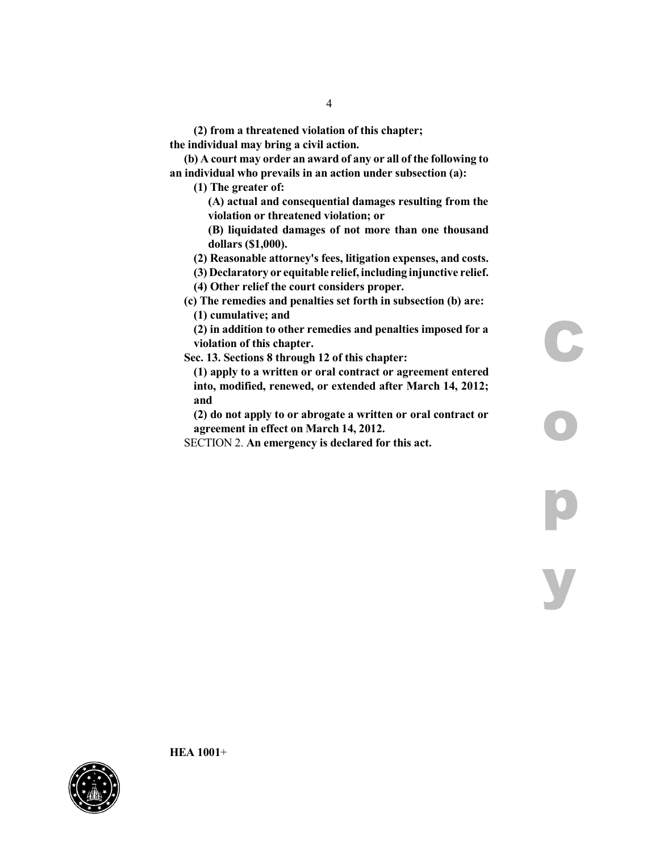**(2) from a threatened violation of this chapter; the individual may bring a civil action.**

**(b) A court may order an award of any or all of the following to an individual who prevails in an action under subsection (a):**

**(1) The greater of:**

**(A) actual and consequential damages resulting from the violation or threatened violation; or**

**(B) liquidated damages of not more than one thousand dollars (\$1,000).**

**(2) Reasonable attorney's fees, litigation expenses, and costs.**

**(3) Declaratory or equitable relief, including injunctive relief.**

**(4) Other relief the court considers proper.**

**(c) The remedies and penalties set forth in subsection (b) are: (1) cumulative; and**

**(2) in addition to other remedies and penalties imposed for a violation of this chapter.**

**C**

**o**

**p**

**y**

**Sec. 13. Sections 8 through 12 of this chapter:**

**(1) apply to a written or oral contract or agreement entered into, modified, renewed, or extended after March 14, 2012; and**

**(2) do not apply to or abrogate a written or oral contract or agreement in effect on March 14, 2012.**

SECTION 2. **An emergency is declared for this act.**